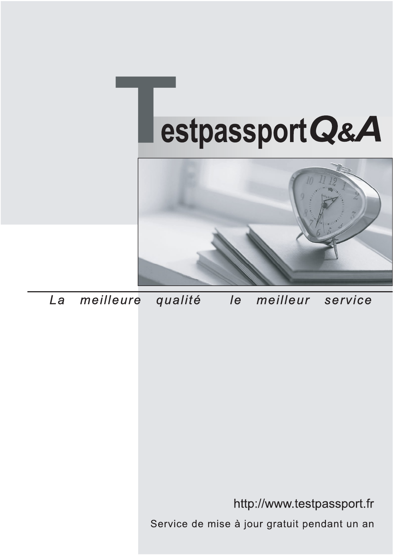



meilleure La qualité  $\overline{e}$ meilleur service

http://www.testpassport.fr

Service de mise à jour gratuit pendant un an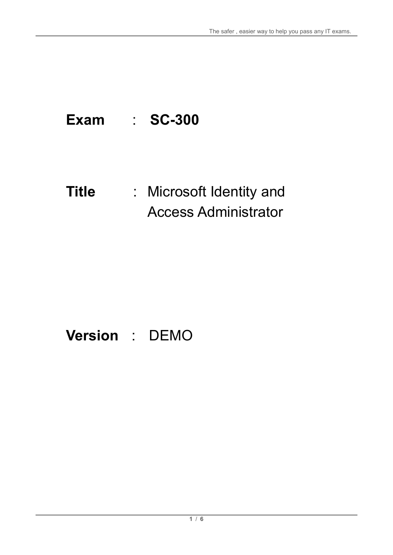# **Exam** : **SC-300**

# **Title** : Microsoft Identity and Access Administrator

# **Version** : DEMO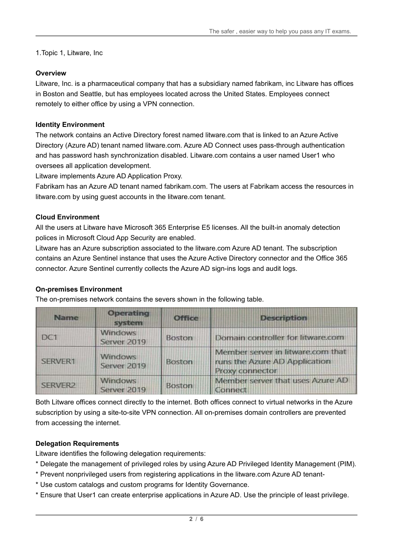1.Topic 1, Litware, Inc

# **Overview**

Litware, Inc. is a pharmaceutical company that has a subsidiary named fabrikam, inc Litware has offices in Boston and Seattle, but has employees located across the United States. Employees connect remotely to either office by using a VPN connection.

# **Identity Environment**

The network contains an Active Directory forest named litware.com that is linked to an Azure Active Directory (Azure AD) tenant named litware.com. Azure AD Connect uses pass-through authentication and has password hash synchronization disabled. Litware.com contains a user named User1 who oversees all application development.

Litware implements Azure AD Application Proxy.

Fabrikam has an Azure AD tenant named fabrikam.com. The users at Fabrikam access the resources in litware.com by using guest accounts in the litware.com tenant.

# **Cloud Environment**

All the users at Litware have Microsoft 365 Enterprise E5 licenses. All the built-in anomaly detection polices in Microsoft Cloud App Security are enabled.

Litware has an Azure subscription associated to the litware.com Azure AD tenant. The subscription contains an Azure Sentinel instance that uses the Azure Active Directory connector and the Office 365 connector. Azure Sentinel currently collects the Azure AD sign-ins logs and audit logs.

#### **On-premises Environment**

The on-premises network contains the severs shown in the following table.

| <b>Name</b>         | <b>Operating</b><br>system    | <b>Office</b> | <b>Description</b>                                                                    |
|---------------------|-------------------------------|---------------|---------------------------------------------------------------------------------------|
| DC <sub>1</sub>     | <b>Windows</b><br>Server 2019 | <b>Boston</b> | Domain controller for litware.com                                                     |
| SERVER <sub>1</sub> | <b>Windows</b><br>Server 2019 | <b>Boston</b> | Member server in litware.com that<br>runs the Azure AD Application<br>Proxy connector |
| <b>SERVER2</b>      | <b>Windows</b><br>Server 2019 | <b>Boston</b> | Member server that uses Azure AD<br>Connect                                           |

Both Litware offices connect directly to the internet. Both offices connect to virtual networks in the Azure subscription by using a site-to-site VPN connection. All on-premises domain controllers are prevented from accessing the internet.

#### **Delegation Requirements**

Litware identifies the following delegation requirements:

- \* Delegate the management of privileged roles by using Azure AD Privileged Identity Management (PIM).
- \* Prevent nonprivileged users from registering applications in the litware.com Azure AD tenant-
- \* Use custom catalogs and custom programs for Identity Governance.
- \* Ensure that User1 can create enterprise applications in Azure AD. Use the principle of least privilege.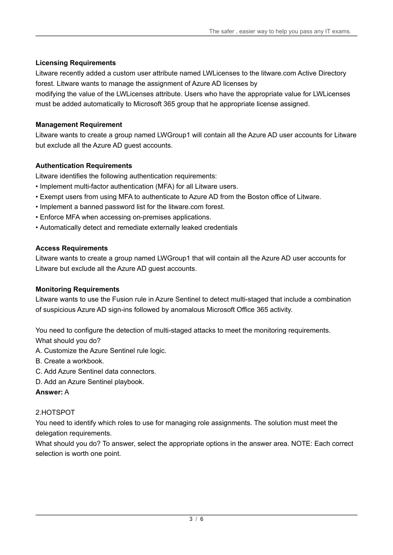# **Licensing Requirements**

Litware recently added a custom user attribute named LWLicenses to the litware.com Active Directory forest. Litware wants to manage the assignment of Azure AD licenses by

modifying the value of the LWLicenses attribute. Users who have the appropriate value for LWLicenses must be added automatically to Microsoft 365 group that he appropriate license assigned.

# **Management Requirement**

Litware wants to create a group named LWGroup1 will contain all the Azure AD user accounts for Litware but exclude all the Azure AD guest accounts.

# **Authentication Requirements**

Litware identifies the following authentication requirements:

- Implement multi-factor authentication (MFA) for all Litware users.
- Exempt users from using MFA to authenticate to Azure AD from the Boston office of Litware.
- Implement a banned password list for the litware.com forest.
- Enforce MFA when accessing on-premises applications.
- Automatically detect and remediate externally leaked credentials

#### **Access Requirements**

Litware wants to create a group named LWGroup1 that will contain all the Azure AD user accounts for Litware but exclude all the Azure AD guest accounts.

#### **Monitoring Requirements**

Litware wants to use the Fusion rule in Azure Sentinel to detect multi-staged that include a combination of suspicious Azure AD sign-ins followed by anomalous Microsoft Office 365 activity.

You need to configure the detection of multi-staged attacks to meet the monitoring requirements. What should you do?

- A. Customize the Azure Sentinel rule logic.
- B. Create a workbook.
- C. Add Azure Sentinel data connectors.
- D. Add an Azure Sentinel playbook.

#### **Answer:** A

#### 2.HOTSPOT

You need to identify which roles to use for managing role assignments. The solution must meet the delegation requirements.

What should you do? To answer, select the appropriate options in the answer area. NOTE: Each correct selection is worth one point.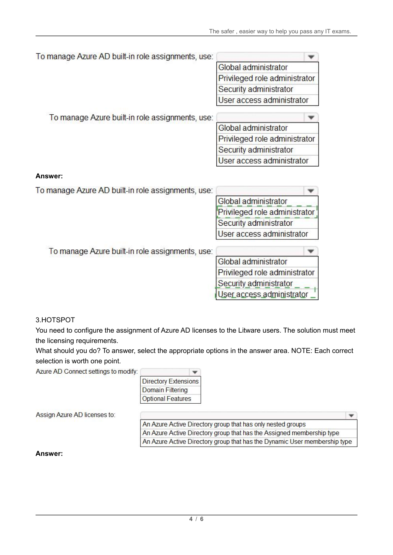| To manage Azure AD built-in role assignments, use: |                               |
|----------------------------------------------------|-------------------------------|
|                                                    | Global administrator          |
|                                                    | Privileged role administrator |
|                                                    | Security administrator        |
|                                                    | User access administrator     |
| To manage Azure built-in role assignments, use:    |                               |
|                                                    | Global administrator          |
|                                                    | Privileged role administrator |
|                                                    | Security administrator        |
|                                                    | User access administrator     |
| Answer:                                            |                               |
| To manage Azure AD built-in role assignments, use: |                               |
|                                                    | Global administrator          |
|                                                    | Privileged role administrator |
|                                                    | Security administrator        |
|                                                    | User access administrator     |
| To manage Azure built-in role assignments, use:    |                               |
|                                                    | Global administrator          |
|                                                    | Privileged role administrator |
|                                                    |                               |
|                                                    | Security administrator        |

#### 3.HOTSPOT

You need to configure the assignment of Azure AD licenses to the Litware users. The solution must meet the licensing requirements.

What should you do? To answer, select the appropriate options in the answer area. NOTE: Each correct selection is worth one point.

Azure AD Connect settings to modify:

| <b>Directory Extensions</b> |
|-----------------------------|
| <b>Domain Filtering</b>     |
| <b>Optional Features</b>    |

Assign Azure AD licenses to:

| An Azure Active Directory group that has only nested groups               |  |
|---------------------------------------------------------------------------|--|
| An Azure Active Directory group that has the Assigned membership type     |  |
| An Azure Active Directory group that has the Dynamic User membership type |  |

#### **Answer:**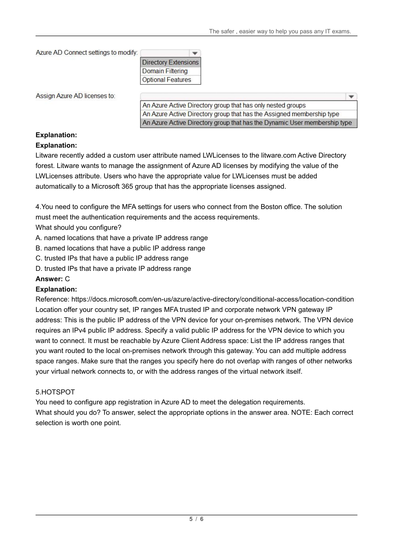```
Azure AD Connect settings to modify:
```

| <b>Directory Extensions</b> |
|-----------------------------|
| <b>Domain Filtering</b>     |
| <b>Optional Features</b>    |

Assign Azure AD licenses to:

An Azure Active Directory group that has only nested groups An Azure Active Directory group that has the Assigned membership type An Azure Active Directory group that has the Dynamic User membership type

# **Explanation:**

# **Explanation:**

Litware recently added a custom user attribute named LWLicenses to the litware.com Active Directory forest. Litware wants to manage the assignment of Azure AD licenses by modifying the value of the LWLicenses attribute. Users who have the appropriate value for LWLicenses must be added automatically to a Microsoft 365 group that has the appropriate licenses assigned.

4.You need to configure the MFA settings for users who connect from the Boston office. The solution must meet the authentication requirements and the access requirements.

What should you configure?

- A. named locations that have a private IP address range
- B. named locations that have a public IP address range
- C. trusted IPs that have a public IP address range
- D. trusted IPs that have a private IP address range

# **Answer:** C

#### **Explanation:**

Reference: https://docs.microsoft.com/en-us/azure/active-directory/conditional-access/location-condition Location offer your country set, IP ranges MFA trusted IP and corporate network VPN gateway IP address: This is the public IP address of the VPN device for your on-premises network. The VPN device requires an IPv4 public IP address. Specify a valid public IP address for the VPN device to which you want to connect. It must be reachable by Azure Client Address space: List the IP address ranges that you want routed to the local on-premises network through this gateway. You can add multiple address space ranges. Make sure that the ranges you specify here do not overlap with ranges of other networks your virtual network connects to, or with the address ranges of the virtual network itself.

# 5.HOTSPOT

You need to configure app registration in Azure AD to meet the delegation requirements. What should you do? To answer, select the appropriate options in the answer area. NOTE: Each correct selection is worth one point.